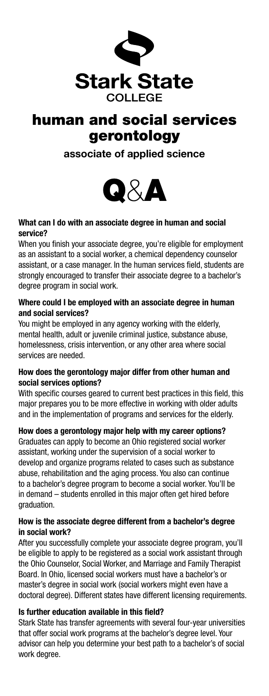

# human and social services gerontology

associate of applied science



# What can I do with an associate degree in human and social service?

When you finish your associate degree, you're eligible for employment as an assistant to a social worker, a chemical dependency counselor assistant, or a case manager. In the human services field, students are strongly encouraged to transfer their associate degree to a bachelor's degree program in social work.

### Where could I be employed with an associate degree in human and social services?

You might be employed in any agency working with the elderly, mental health, adult or juvenile criminal justice, substance abuse, homelessness, crisis intervention, or any other area where social services are needed.

# How does the gerontology major differ from other human and social services options?

With specific courses geared to current best practices in this field, this major prepares you to be more effective in working with older adults and in the implementation of programs and services for the elderly.

How does a gerontology major help with my career options? Graduates can apply to become an Ohio registered social worker assistant, working under the supervision of a social worker to develop and organize programs related to cases such as substance abuse, rehabilitation and the aging process. You also can continue to a bachelor's degree program to become a social worker. You'll be in demand – students enrolled in this major often get hired before graduation.

#### How is the associate degree different from a bachelor's degree in social work?

After you successfully complete your associate degree program, you'll be eligible to apply to be registered as a social work assistant through the Ohio Counselor, Social Worker, and Marriage and Family Therapist Board. In Ohio, licensed social workers must have a bachelor's or master's degree in social work (social workers might even have a doctoral degree). Different states have different licensing requirements.

# Is further education available in this field?

Stark State has transfer agreements with several four-year universities that offer social work programs at the bachelor's degree level. Your advisor can help you determine your best path to a bachelor's of social work degree.